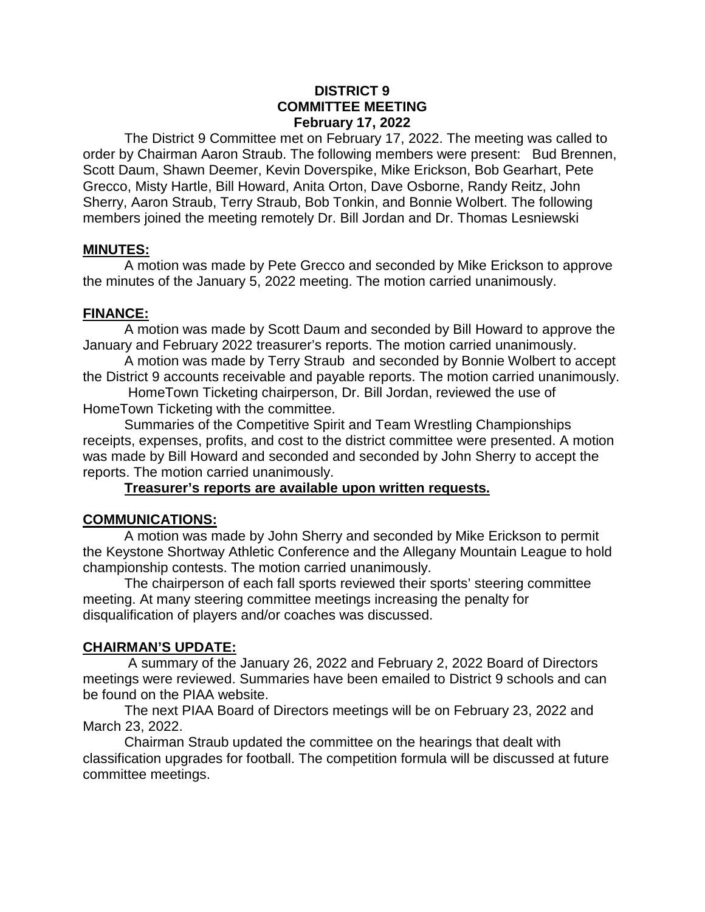#### **DISTRICT 9 COMMITTEE MEETING February 17, 2022**

The District 9 Committee met on February 17, 2022. The meeting was called to order by Chairman Aaron Straub. The following members were present: Bud Brennen, Scott Daum, Shawn Deemer, Kevin Doverspike, Mike Erickson, Bob Gearhart, Pete Grecco, Misty Hartle, Bill Howard, Anita Orton, Dave Osborne, Randy Reitz, John Sherry, Aaron Straub, Terry Straub, Bob Tonkin, and Bonnie Wolbert. The following members joined the meeting remotely Dr. Bill Jordan and Dr. Thomas Lesniewski

## **MINUTES:**

A motion was made by Pete Grecco and seconded by Mike Erickson to approve the minutes of the January 5, 2022 meeting. The motion carried unanimously.

#### **FINANCE:**

A motion was made by Scott Daum and seconded by Bill Howard to approve the January and February 2022 treasurer's reports. The motion carried unanimously.

A motion was made by Terry Straub and seconded by Bonnie Wolbert to accept the District 9 accounts receivable and payable reports. The motion carried unanimously.

HomeTown Ticketing chairperson, Dr. Bill Jordan, reviewed the use of HomeTown Ticketing with the committee.

Summaries of the Competitive Spirit and Team Wrestling Championships receipts, expenses, profits, and cost to the district committee were presented. A motion was made by Bill Howard and seconded and seconded by John Sherry to accept the reports. The motion carried unanimously.

#### **Treasurer's reports are available upon written requests.**

## **COMMUNICATIONS:**

A motion was made by John Sherry and seconded by Mike Erickson to permit the Keystone Shortway Athletic Conference and the Allegany Mountain League to hold championship contests. The motion carried unanimously.

The chairperson of each fall sports reviewed their sports' steering committee meeting. At many steering committee meetings increasing the penalty for disqualification of players and/or coaches was discussed.

## **CHAIRMAN'S UPDATE:**

A summary of the January 26, 2022 and February 2, 2022 Board of Directors meetings were reviewed. Summaries have been emailed to District 9 schools and can be found on the PIAA website.

The next PIAA Board of Directors meetings will be on February 23, 2022 and March 23, 2022.

Chairman Straub updated the committee on the hearings that dealt with classification upgrades for football. The competition formula will be discussed at future committee meetings.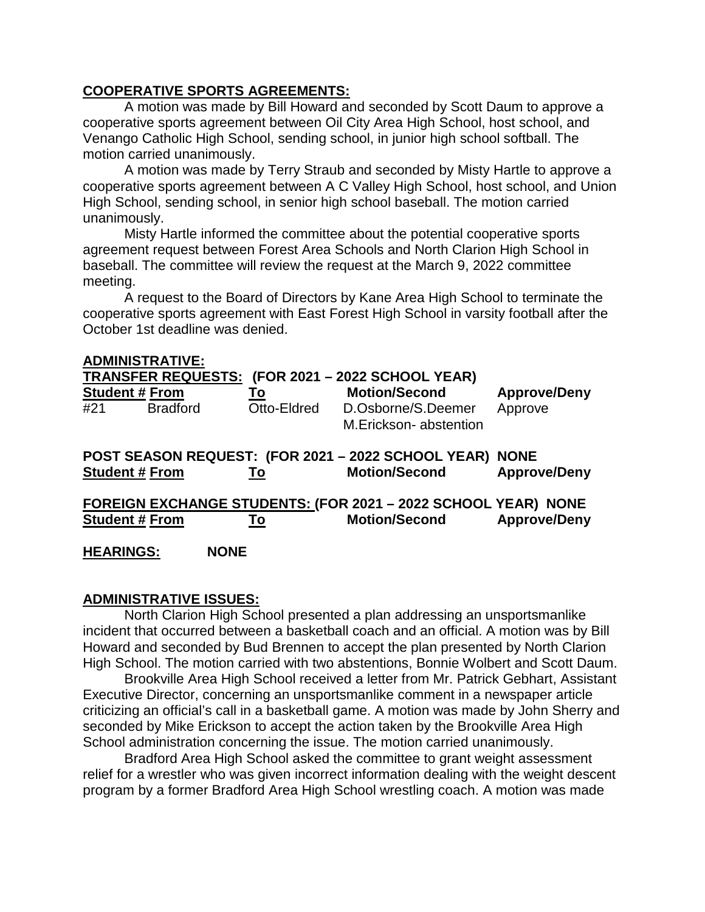## **COOPERATIVE SPORTS AGREEMENTS:**

A motion was made by Bill Howard and seconded by Scott Daum to approve a cooperative sports agreement between Oil City Area High School, host school, and Venango Catholic High School, sending school, in junior high school softball. The motion carried unanimously.

A motion was made by Terry Straub and seconded by Misty Hartle to approve a cooperative sports agreement between A C Valley High School, host school, and Union High School, sending school, in senior high school baseball. The motion carried unanimously.

Misty Hartle informed the committee about the potential cooperative sports agreement request between Forest Area Schools and North Clarion High School in baseball. The committee will review the request at the March 9, 2022 committee meeting.

A request to the Board of Directors by Kane Area High School to terminate the cooperative sports agreement with East Forest High School in varsity football after the October 1st deadline was denied.

| <b>ADMINISTRATIVE:</b>                                               |                 |                   |                                                                            |                                    |
|----------------------------------------------------------------------|-----------------|-------------------|----------------------------------------------------------------------------|------------------------------------|
| <b>TRANSFER REQUESTS:</b><br>(FOR 2021 - 2022 SCHOOL YEAR)           |                 |                   |                                                                            |                                    |
| <b>Student # From</b><br>#21                                         | <b>Bradford</b> | Го<br>Otto-Eldred | <b>Motion/Second</b><br>D.Osborne/S.Deemer<br>M.Erickson-abstention        | <b>Approve/Deny</b><br>Approve     |
| <b>Student # From</b>                                                |                 | To                | POST SEASON REQUEST: (FOR 2021 - 2022 SCHOOL YEAR)<br><b>Motion/Second</b> | <b>NONE</b><br><b>Approve/Deny</b> |
| <b>FOREIGN EXCHANGE STUDENTS: (FOR 2021 - 2022 SCHOOL YEAR) NONE</b> |                 |                   |                                                                            |                                    |
| <b>Student # From</b>                                                |                 | To                | <b>Motion/Second</b>                                                       | <b>Approve/Deny</b>                |
| <b>HEARINGS:</b>                                                     |                 | <b>NONE</b>       |                                                                            |                                    |

## **ADMINISTRATIVE ISSUES:**

North Clarion High School presented a plan addressing an unsportsmanlike incident that occurred between a basketball coach and an official. A motion was by Bill Howard and seconded by Bud Brennen to accept the plan presented by North Clarion High School. The motion carried with two abstentions, Bonnie Wolbert and Scott Daum.

Brookville Area High School received a letter from Mr. Patrick Gebhart, Assistant Executive Director, concerning an unsportsmanlike comment in a newspaper article criticizing an official's call in a basketball game. A motion was made by John Sherry and seconded by Mike Erickson to accept the action taken by the Brookville Area High School administration concerning the issue. The motion carried unanimously.

Bradford Area High School asked the committee to grant weight assessment relief for a wrestler who was given incorrect information dealing with the weight descent program by a former Bradford Area High School wrestling coach. A motion was made